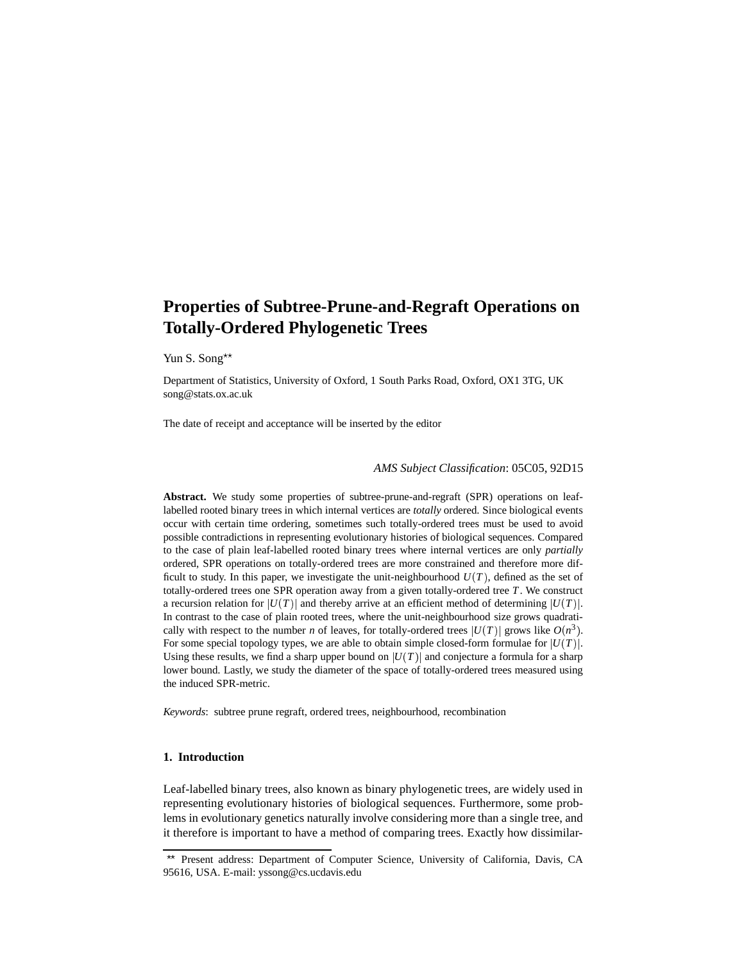# **Properties of Subtree-Prune-and-Regraft Operations on Totally-Ordered Phylogenetic Trees**

Yun S. Song\*\*

Department of Statistics, University of Oxford, 1 South Parks Road, Oxford, OX1 3TG, UK song@stats.ox.ac.uk

The date of receipt and acceptance will be inserted by the editor

# *AMS Subject Classification*: 05C05, 92D15

**Abstract.** We study some properties of subtree-prune-and-regraft (SPR) operations on leaflabelled rooted binary trees in which internal vertices are *totally* ordered. Since biological events occur with certain time ordering, sometimes such totally-ordered trees must be used to avoid possible contradictions in representing evolutionary histories of biological sequences. Compared to the case of plain leaf-labelled rooted binary trees where internal vertices are only *partially* ordered, SPR operations on totally-ordered trees are more constrained and therefore more difficult to study. In this paper, we investigate the unit-neighbourhood  $U(T)$ , defined as the set of totally-ordered trees one SPR operation away from a given totally-ordered tree *T*. We construct a recursion relation for  $|U(T)|$  and thereby arrive at an efficient method of determining  $|U(T)|$ . In contrast to the case of plain rooted trees, where the unit-neighbourhood size grows quadratically with respect to the number *n* of leaves, for totally-ordered trees  $|U(T)|$  grows like  $O(n^3)$ . For some special topology types, we are able to obtain simple closed-form formulae for  $|U(T)|$ . Using these results, we find a sharp upper bound on  $|U(T)|$  and conjecture a formula for a sharp lower bound. Lastly, we study the diameter of the space of totally-ordered trees measured using the induced SPR-metric.

*Keywords*: subtree prune regraft, ordered trees, neighbourhood, recombination

# **1. Introduction**

Leaf-labelled binary trees, also known as binary phylogenetic trees, are widely used in representing evolutionary histories of biological sequences. Furthermore, some problems in evolutionary genetics naturally involve considering more than a single tree, and it therefore is important to have a method of comparing trees. Exactly how dissimilar-

<sup>\*\*</sup> Present address: Department of Computer Science, University of California, Davis, CA 95616, USA. E-mail: yssong@cs.ucdavis.edu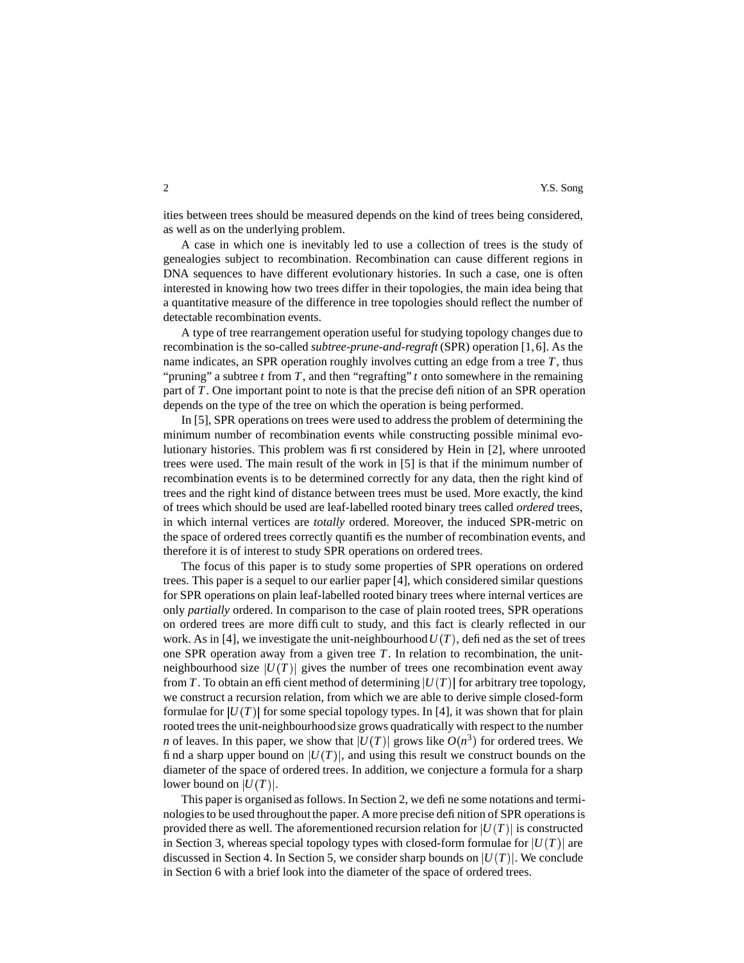### 2 X.S. Song

ities between trees should be measured depends on the kind of trees being considered, as well as on the underlying problem.

A case in which one is inevitably led to use a collection of trees is the study of genealogies subject to recombination. Recombination can cause different regions in DNA sequences to have different evolutionary histories. In such a case, one is often interested in knowing how two trees differ in their topologies, the main idea being that a quantitative measure of the difference in tree topologies should reflect the number of detectable recombination events.

A type of tree rearrangement operation useful for studying topology changes due to recombination is the so-called *subtree-prune-and-regraft* (SPR) operation [1,6]. As the name indicates, an SPR operation roughly involves cutting an edge from a tree *T*, thus "pruning" a subtree *t* from *T*, and then "regrafting" *t* onto somewhere in the remaining part of *T*. One important point to note is that the precise definition of an SPR operation depends on the type of the tree on which the operation is being performed.

In [5], SPR operations on trees were used to address the problem of determining the minimum number of recombination events while constructing possible minimal evolutionary histories. This problem was first considered by Hein in [2], where unrooted trees were used. The main result of the work in [5] is that if the minimum number of recombination events is to be determined correctly for any data, then the right kind of trees and the right kind of distance between trees must be used. More exactly, the kind of trees which should be used are leaf-labelled rooted binary trees called *ordered* trees, in which internal vertices are *totally* ordered. Moreover, the induced SPR-metric on the space of ordered trees correctly quantifies the number of recombination events, and therefore it is of interest to study SPR operations on ordered trees.

The focus of this paper is to study some properties of SPR operations on ordered trees. This paper is a sequel to our earlier paper [4], which considered similar questions for SPR operations on plain leaf-labelled rooted binary trees where internal vertices are only *partially* ordered. In comparison to the case of plain rooted trees, SPR operations on ordered trees are more difficult to study, and this fact is clearly reflected in our work. As in [4], we investigate the unit-neighbourhood  $U(T)$ , defined as the set of trees one SPR operation away from a given tree *T*. In relation to recombination, the unitneighbourhood size  $|U(T)|$  gives the number of trees one recombination event away from *T*. To obtain an efficient method of determining  $|U(T)|$  for arbitrary tree topology, we construct a recursion relation, from which we are able to derive simple closed-form formulae for  $|U(T)|$  for some special topology types. In [4], it was shown that for plain rooted trees the unit-neighbourhoodsize grows quadratically with respect to the number *n* of leaves. In this paper, we show that  $|U(T)|$  grows like  $O(n^3)$  for ordered trees. We find a sharp upper bound on  $|U(T)|$ , and using this result we construct bounds on the diameter of the space of ordered trees. In addition, we conjecture a formula for a sharp lower bound on  $|U(T)|$ .

This paper is organised as follows. In Section 2, we define some notations and terminologies to be used throughout the paper. A more precise definition of SPR operations is provided there as well. The aforementioned recursion relation for  $|U(T)|$  is constructed in Section 3, whereas special topology types with closed-form formulae for  $|U(T)|$  are discussed in Section 4. In Section 5, we consider sharp bounds on  $|U(T)|$ . We conclude in Section 6 with a brief look into the diameter of the space of ordered trees.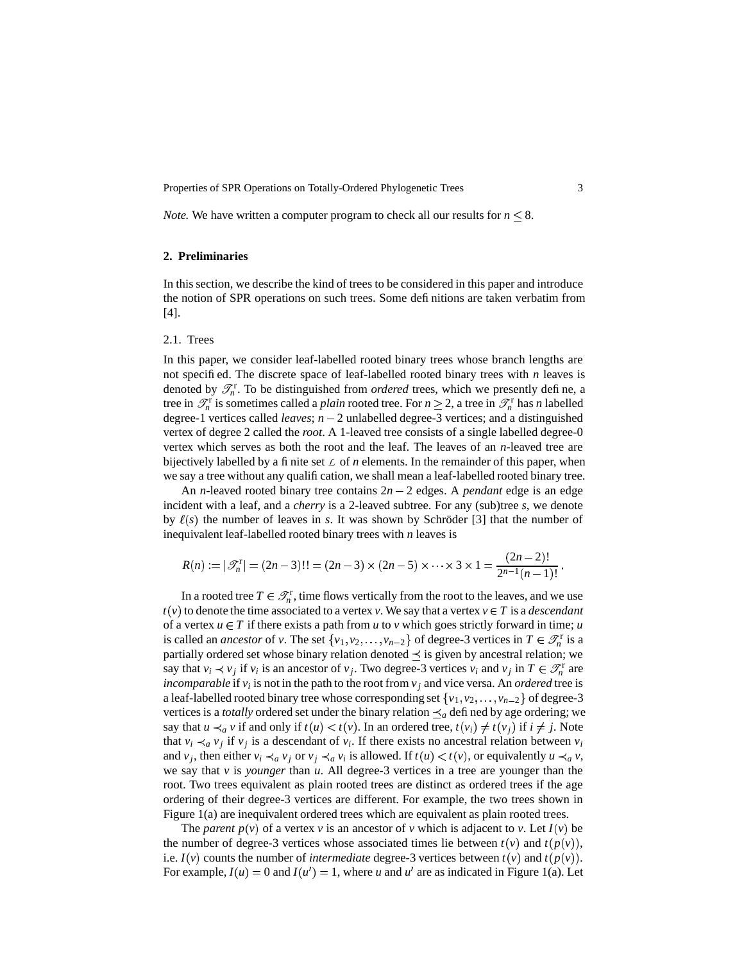*Note.* We have written a computer program to check all our results for  $n \leq 8$ .

### **2. Preliminaries**

In this section, we describe the kind of trees to be considered in this paper and introduce the notion of SPR operations on such trees. Some definitions are taken verbatim from [4].

### 2.1. Trees

In this paper, we consider leaf-labelled rooted binary trees whose branch lengths are not specified. The discrete space of leaf-labelled rooted binary trees with *n* leaves is denoted by  $\mathcal{T}_n^r$ . To be distinguished from *ordered* trees, which we presently define, a tree in  $\mathcal{T}_n^r$  is sometimes called a *plain* rooted tree. For  $n \geq 2$ , a tree in  $\mathcal{T}_n^r$  has *n* labelled degree-1 vertices called *leaves*;  $n - 2$  unlabelled degree-3 vertices; and a distinguished vertex of degree 2 called the *root*. A 1-leaved tree consists of a single labelled degree-0 vertex which serves as both the root and the leaf. The leaves of an *n*-leaved tree are bijectively labelled by a finite set  $\angle$  of *n* elements. In the remainder of this paper, when we say a tree without any qualification, we shall mean a leaf-labelled rooted binary tree.

An *n*-leaved rooted binary tree contains  $2n - 2$  edges. A *pendant* edge is an edge incident with a leaf, and a *cherry* is a 2-leaved subtree. For any (sub)tree *s*, we denote by  $\ell(s)$  the number of leaves in *s*. It was shown by Schröder [3] that the number of inequivalent leaf-labelled rooted binary trees with *n* leaves is

$$
R(n) := |\mathscr{T}_n^r| = (2n-3)!! = (2n-3) \times (2n-5) \times \cdots \times 3 \times 1 = \frac{(2n-2)!}{2^{n-1}(n-1)!}.
$$

In a rooted tree  $T \in \mathcal{T}_n^r$ , time flows vertically from the root to the leaves, and we use  $t(v)$  to denote the time associated to a vertex *v*. We say that a vertex  $v \in T$  is a *descendant* of a vertex  $u \in T$  if there exists a path from *u* to *v* which goes strictly forward in time; *u* is called an *ancestor* of *v*. The set  $\{v_1, v_2, \dots, v_{n-2}\}$  of degree-3 vertices in  $T \in \mathcal{T}_n^r$  is a partially ordered set whose binary relation denoted  $\preceq$  is given by ancestral relation; we say that  $v_i \prec v_j$  if  $v_i$  is an ancestor of  $v_j$ . Two degree-3 vertices  $v_i$  and  $v_j$  in  $T \in \mathcal{T}_n^r$  are *incomparable* if  $v_i$  is not in the path to the root from  $v_j$  and vice versa. An *ordered* tree is a leaf-labelled rooted binary tree whose corresponding set  $\{v_1, v_2, \ldots, v_{n-2}\}$  of degree-3 vertices is a *totally* ordered set under the binary relation  $\leq_a$  defined by age ordering; we say that  $u \prec_a v$  if and only if  $t(u) < t(v)$ . In an ordered tree,  $t(v_i) \neq t(v_i)$  if  $i \neq j$ . Note that  $v_i \prec_a v_j$  if  $v_j$  is a descendant of  $v_i$ . If there exists no ancestral relation between  $v_i$ and  $v_j$ , then either  $v_i \prec_a v_j$  or  $v_j \prec_a v_i$  is allowed. If  $t(u) < t(v)$ , or equivalently  $u \prec_a v$ , we say that *v* is *younger* than *u*. All degree-3 vertices in a tree are younger than the root. Two trees equivalent as plain rooted trees are distinct as ordered trees if the age ordering of their degree-3 vertices are different. For example, the two trees shown in Figure 1(a) are inequivalent ordered trees which are equivalent as plain rooted trees.

The *parent*  $p(v)$  of a vertex *v* is an ancestor of *v* which is adjacent to *v*. Let  $I(v)$  be the number of degree-3 vertices whose associated times lie between  $t(v)$  and  $t(p(v))$ , i.e.  $I(v)$  counts the number of *intermediate* degree-3 vertices between  $t(v)$  and  $t(p(v))$ . For example,  $I(u) = 0$  and  $I(u') = 1$ , where *u* and *u'* are as indicated in Figure 1(a). Let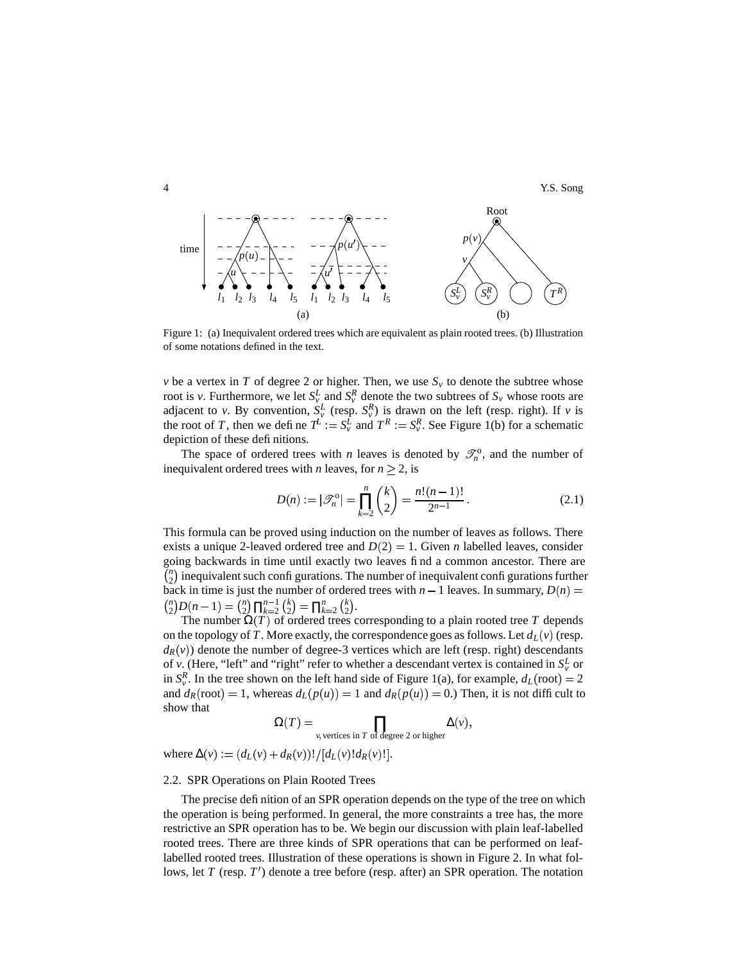

Figure 1: (a) Inequivalent ordered trees which are equivalent as plain rooted trees. (b) Illustration of some notations defined in the text.

*v* be a vertex in *T* of degree 2 or higher. Then, we use  $S<sub>v</sub>$  to denote the subtree whose root is *v*. Furthermore, we let  $S_v^L$  and  $S_v^R$  denote the two subtrees of  $S_v$  whose roots are adjacent to *v*. By convention,  $S_v^L$  (resp.  $S_v^R$ ) is drawn on the left (resp. right). If *v* is the root of *T*, then we define  $T^L := S_v^L$  and  $T^R := S_v^R$ . See Figure 1(b) for a schematic depiction of these definitions.

The space of ordered trees with *n* leaves is denoted by  $\mathcal{I}_n^0$ , and the number of inequivalent ordered trees with *n* leaves, for  $n \geq 2$ , is

$$
D(n) := |\mathcal{F}_n^{\text{o}}| = \prod_{k=2}^n \binom{k}{2} = \frac{n!(n-1)!}{2^{n-1}}.
$$
 (2.1)

This formula can be proved using induction on the number of leaves as follows. There exists a unique 2-leaved ordered tree and  $D(2) = 1$ . Given *n* labelled leaves, consider going backwards in time until exactly two leaves find a common ancestor. There are  $\bar{n}_2 \choose 2$  inequivalent such configurations. The number of inequivalent configurations further back in time is just the number of ordered trees with  $n - 1$  leaves. In summary,  $D(n) =$  ${n \choose 2} D(n-1) = {n \choose 2} \prod_{k=2}^{n-1} {k \choose 2} = \prod_{k=2}^{n} {k \choose 2}.$ 

The number  $\Omega(T)$  of ordered trees corresponding to a plain rooted tree T depends on the topology of *T*. More exactly, the correspondence goes as follows. Let  $d_L(v)$  (resp.  $d_R(v)$ ) denote the number of degree-3 vertices which are left (resp. right) descendants of *v*. (Here, "left" and "right" refer to whether a descendant vertex is contained in  $S_v^L$  or in  $S_v^R$ . In the tree shown on the left hand side of Figure 1(a), for example,  $d_L$  (root) = 2 and  $d_R$  (root) = 1, whereas  $d_L(p(u)) = 1$  and  $d_R(p(u)) = 0$ .) Then, it is not difficult to show that

$$
\Omega(T) = \prod_{v, \text{ vertices in } T \text{ of degree 2 or higher}} \Delta(v),
$$

 $\text{where } \Delta(v) := (d_L(v) + d_R(v))!/[d_L(v)!d_R(v)!].$ 

# 2.2. SPR Operations on Plain Rooted Trees

The precise definition of an SPR operation depends on the type of the tree on which the operation is being performed. In general, the more constraints a tree has, the more restrictive an SPR operation has to be. We begin our discussion with plain leaf-labelled rooted trees. There are three kinds of SPR operations that can be performed on leaflabelled rooted trees. Illustration of these operations is shown in Figure 2. In what follows, let *T* (resp.  $T'$ ) denote a tree before (resp. after) an SPR operation. The notation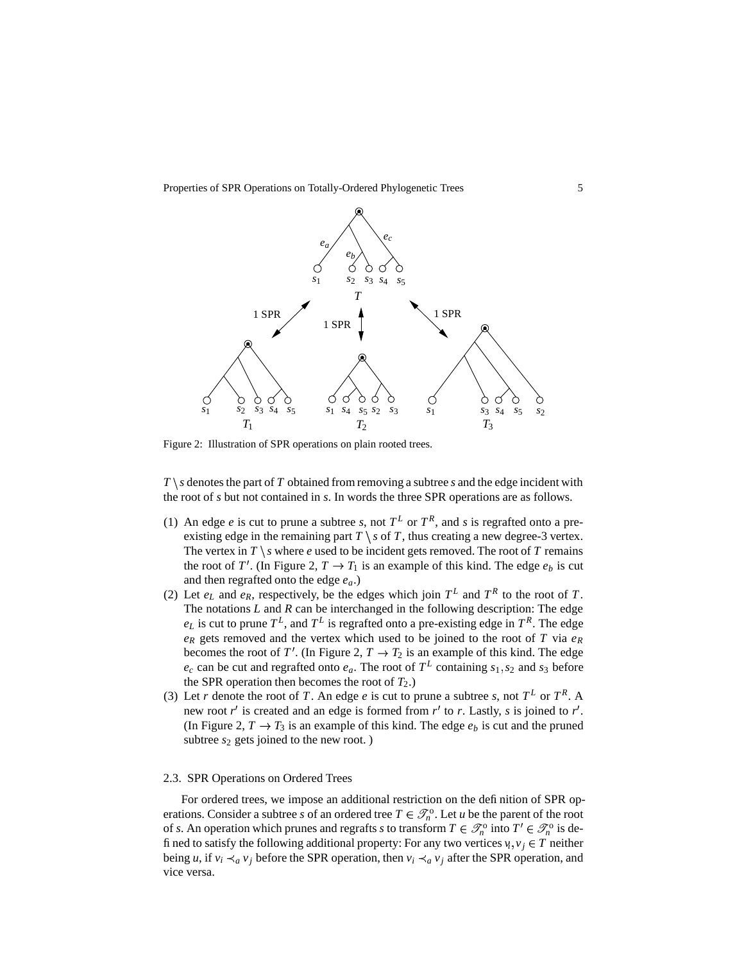

Figure 2: Illustration of SPR operations on plain rooted trees.

 $T \ s$  denotes the part of *T* obtained from removing a subtree *s* and the edge incident with the root of *s* but not contained in *s*. In words the three SPR operations are as follows.

- (1) An edge *e* is cut to prune a subtree *s*, not  $T^L$  or  $T^R$ , and *s* is regrafted onto a preexisting edge in the remaining part  $T \setminus s$  of  $T$ , thus creating a new degree-3 vertex. The vertex in  $T \setminus s$  where *e* used to be incident gets removed. The root of *T* remains the root of *T'*. (In Figure 2,  $T \rightarrow T_1$  is an example of this kind. The edge  $e_b$  is cut and then regrafted onto the edge *ea*.)
- (2) Let  $e_L$  and  $e_R$ , respectively, be the edges which join  $T^L$  and  $T^R$  to the root of *T*. The notations *L* and *R* can be interchanged in the following description: The edge  $e_L$  is cut to prune  $T^L$ , and  $T^L$  is regrafted onto a pre-existing edge in  $T^R$ . The edge  $e_R$  gets removed and the vertex which used to be joined to the root of *T* via  $e_R$ becomes the root of *T'*. (In Figure 2,  $T \rightarrow T_2$  is an example of this kind. The edge  $e_c$  can be cut and regrafted onto  $e_a$ . The root of  $T^L$  containing  $s_1, s_2$  and  $s_3$  before the SPR operation then becomes the root of  $T_2$ .)
- (3) Let *r* denote the root of *T*. An edge *e* is cut to prune a subtree *s*, not  $T^L$  or  $T^R$ . A new root  $r'$  is created and an edge is formed from  $r'$  to  $r$ . Lastly,  $s$  is joined to  $r'$ . (In Figure 2,  $T \rightarrow T_3$  is an example of this kind. The edge  $e_b$  is cut and the pruned subtree  $s_2$  gets joined to the new root.)

### 2.3. SPR Operations on Ordered Trees

For ordered trees, we impose an additional restriction on the definition of SPR operations. Consider a subtree *s* of an ordered tree  $T \in \mathcal{I}_n^{\circ}$ . Let *u* be the parent of the root of *s*. An operation which prunes and regrafts *s* to transform  $T \in \mathcal{I}_n^{\circ}$  into  $T' \in \mathcal{I}_n^{\circ}$  is defined to satisfy the following additional property: For any two vertices  $v_i, v_j \in T$  neither being *u*, if  $v_i \prec_a v_j$  before the SPR operation, then  $v_i \prec_a v_j$  after the SPR operation, and vice versa.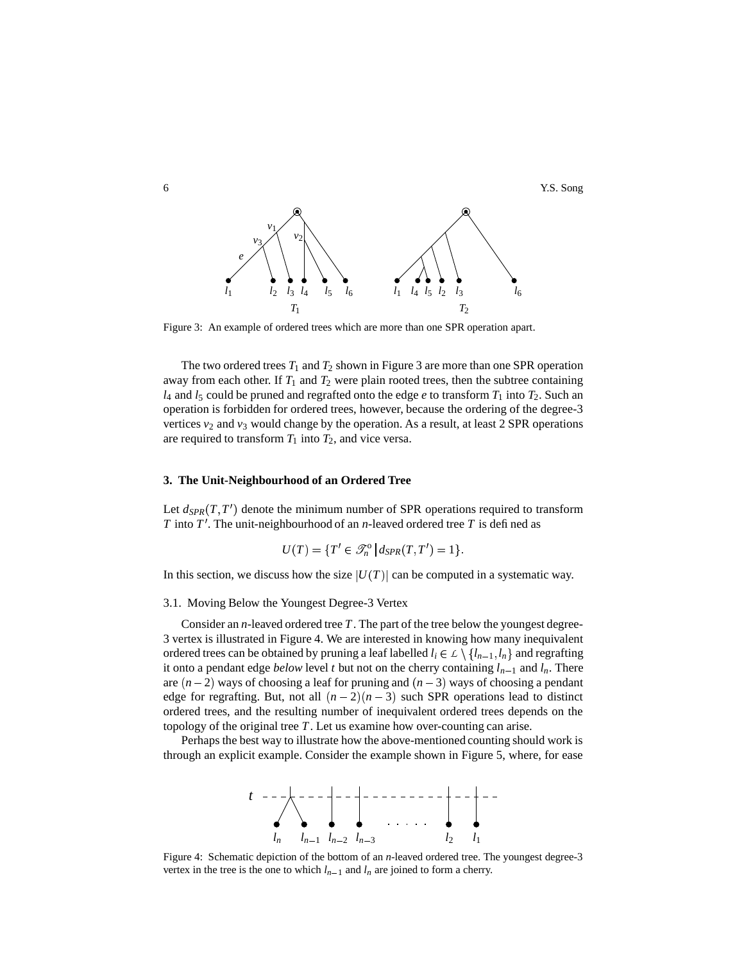

Figure 3: An example of ordered trees which are more than one SPR operation apart.

The two ordered trees  $T_1$  and  $T_2$  shown in Figure 3 are more than one SPR operation away from each other. If  $T_1$  and  $T_2$  were plain rooted trees, then the subtree containing  $l_4$  and  $l_5$  could be pruned and regrafted onto the edge  $e$  to transform  $T_1$  into  $T_2$ . Such an operation is forbidden for ordered trees, however, because the ordering of the degree-3 vertices  $v_2$  and  $v_3$  would change by the operation. As a result, at least 2 SPR operations are required to transform  $T_1$  into  $T_2$ , and vice versa.

# **3. The Unit-Neighbourhood of an Ordered Tree**

Let  $d_{SPR}(T, T')$  denote the minimum number of SPR operations required to transform *T* into  $T'$ . The unit-neighbourhood of an *n*-leaved ordered tree *T* is defined as

$$
U(T) = \{T' \in \mathcal{S}_n^{\circ} \, \big| \, d_{SPR}(T, T') = 1\}.
$$

In this section, we discuss how the size  $|U(T)|$  can be computed in a systematic way.

3.1. Moving Below the Youngest Degree-3 Vertex

Consider an *n*-leaved ordered tree *T*. The part of the tree below the youngest degree-3 vertex is illustrated in Figure 4. We are interested in knowing how many inequivalent ordered trees can be obtained by pruning a leaf labelled  $l_i \in L \setminus \{l_{n-1}, l_n\}$  and regrafting it onto a pendant edge *below* level *t* but not on the cherry containing  $l_{n-1}$  and  $l_n$ . There are  $(n-2)$  ways of choosing a leaf for pruning and  $(n-3)$  ways of choosing a pendant edge for regrafting. But, not all  $(n-2)(n-3)$  such SPR operations lead to distinct ordered trees, and the resulting number of inequivalent ordered trees depends on the topology of the original tree *T*. Let us examine how over-counting can arise.

Perhaps the best way to illustrate how the above-mentioned counting should work is through an explicit example. Consider the example shown in Figure 5, where, for ease



Figure 4: Schematic depiction of the bottom of an *n*-leaved ordered tree. The youngest degree-3 vertex in the tree is the one to which  $l_{n-1}$  and  $l_n$  are joined to form a cherry.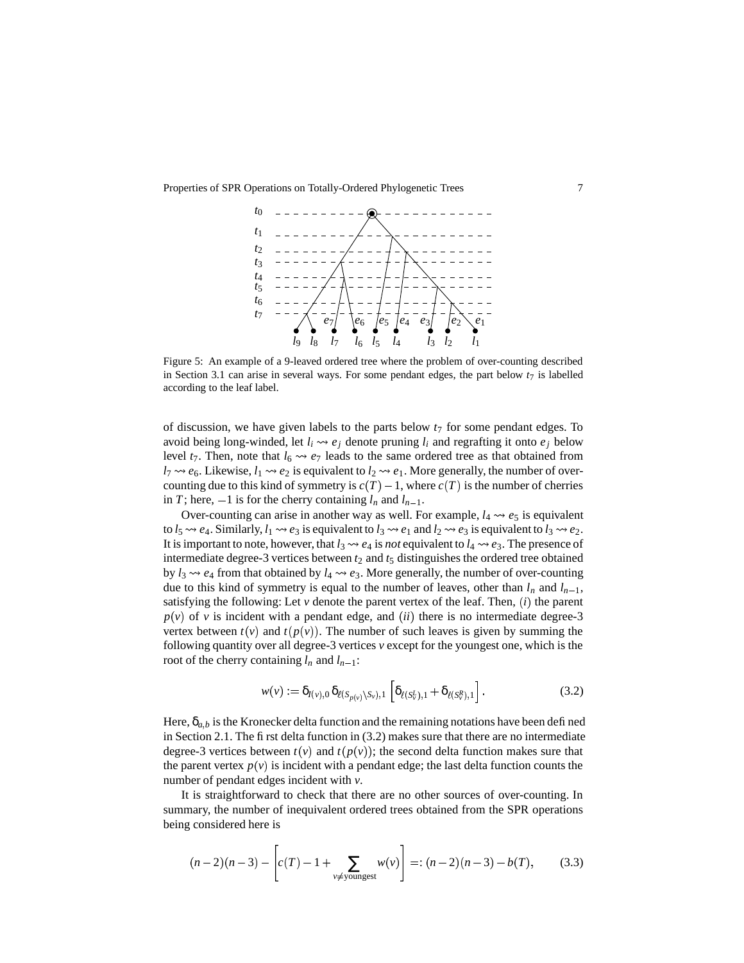

Figure 5: An example of a 9-leaved ordered tree where the problem of over-counting described in Section 3.1 can arise in several ways. For some pendant edges, the part below  $t_7$  is labelled according to the leaf label.

of discussion, we have given labels to the parts below *t*<sup>7</sup> for some pendant edges. To avoid being long-winded, let  $l_i \leftrightarrow e_j$  denote pruning  $l_i$  and regrafting it onto  $e_j$  below level  $t_7$ . Then, note that  $l_6 \rightarrow e_7$  leads to the same ordered tree as that obtained from  $l_7 \rightsquigarrow e_6$ . Likewise,  $l_1 \rightsquigarrow e_2$  is equivalent to  $l_2 \rightsquigarrow e_1$ . More generally, the number of overcounting due to this kind of symmetry is  $c(T) - 1$ , where  $c(T)$  is the number of cherries in *T*; here,  $-1$  is for the cherry containing  $l_n$  and  $l_{n-1}$ .

Over-counting can arise in another way as well. For example,  $l_4 \rightarrow e_5$  is equivalent to  $l_5 \leftrightarrow e_4$ . Similarly,  $l_1 \leftrightarrow e_3$  is equivalent to  $l_3 \leftrightarrow e_1$  and  $l_2 \leftrightarrow e_3$  is equivalent to  $l_3 \leftrightarrow e_2$ . It is important to note, however, that  $l_3 \rightarrow e_4$  is *not* equivalent to  $l_4 \rightarrow e_3$ . The presence of intermediate degree-3 vertices between  $t_2$  and  $t_5$  distinguishes the ordered tree obtained by  $l_3 \rightarrow e_4$  from that obtained by  $l_4 \rightarrow e_3$ . More generally, the number of over-counting due to this kind of symmetry is equal to the number of leaves, other than  $l_n$  and  $l_{n-1}$ , satisfying the following: Let  $\nu$  denote the parent vertex of the leaf. Then,  $(i)$  the parent  $p(v)$  of *v* is incident with a pendant edge, and *(ii)* there is no intermediate degree-3 vertex between  $t(v)$  and  $t(p(v))$ . The number of such leaves is given by summing the following quantity over all degree-3 vertices *v* except for the youngest one, which is the root of the cherry containing  $l_n$  and  $l_{n-1}$ :

$$
w(v) := \delta_{I(v),0} \, \delta_{\ell(S_{p(v)} \setminus S_v),1} \left[ \delta_{\ell(S_v^L),1} + \delta_{\ell(S_v^R),1} \right]. \tag{3.2}
$$

Here,  $\delta_{a,b}$  is the Kronecker delta function and the remaining notations have been defined in Section 2.1. The first delta function in (3.2) makes sure that there are no intermediate degree-3 vertices between  $t(v)$  and  $t(p(v))$ ; the second delta function makes sure that the parent vertex  $p(v)$  is incident with a pendant edge; the last delta function counts the number of pendant edges incident with *v*.

It is straightforward to check that there are no other sources of over-counting. In summary, the number of inequivalent ordered trees obtained from the SPR operations being considered here is

$$
(n-2)(n-3) - \left[ c(T) - 1 + \sum_{v \neq \text{youngest}} w(v) \right] =: (n-2)(n-3) - b(T), \quad (3.3)
$$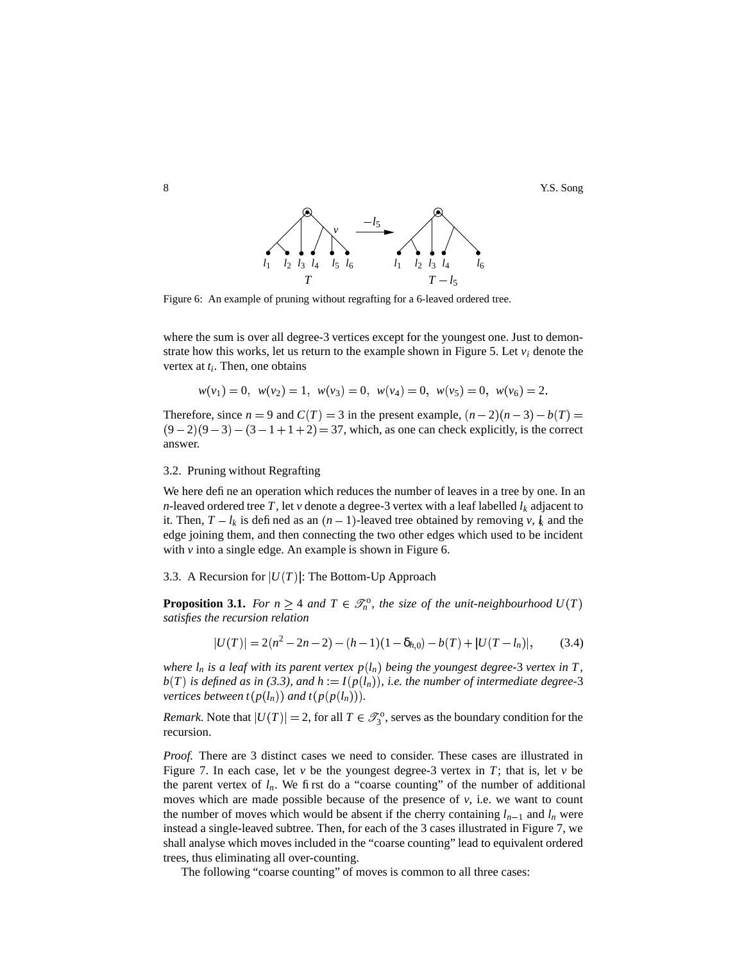8 Second Second Second Second Second Second Second Second Second Second Second Second Second Second Second Second Second Second Second Second Second Second Second Second Second Second Second Second Second Second Second Sec



Figure 6: An example of pruning without regrafting for a 6-leaved ordered tree.

where the sum is over all degree-3 vertices except for the youngest one. Just to demonstrate how this works, let us return to the example shown in Figure 5. Let  $v_i$  denote the vertex at *t<sup>i</sup>* . Then, one obtains

$$
w(v_1) = 0
$$
,  $w(v_2) = 1$ ,  $w(v_3) = 0$ ,  $w(v_4) = 0$ ,  $w(v_5) = 0$ ,  $w(v_6) = 2$ .

Therefore, since  $n = 9$  and  $C(T) = 3$  in the present example,  $(n-2)(n-3) - b(T) =$  $(9-2)(9-3) - (3-1+1+2) = 37$ , which, as one can check explicitly, is the correct answer.

### 3.2. Pruning without Regrafting

We here define an operation which reduces the number of leaves in a tree by one. In an *n*-leaved ordered tree *T*, let *v* denote a degree-3 vertex with a leaf labelled  $l_k$  adjacent to it. Then,  $T - l_k$  is defined as an  $(n - 1)$ -leaved tree obtained by removing *v*,  $l_k$  and the edge joining them, and then connecting the two other edges which used to be incident with  $\nu$  into a single edge. An example is shown in Figure 6.

### 3.3. A Recursion for  $|U(T)|$ : The Bottom-Up Approach

**Proposition 3.1.** For  $n \geq 4$  and  $T \in \mathcal{F}_n^{\circ}$ , the size of the unit-neighbourhood  $U(T)$ *satisfies the recursion relation*

$$
U(T)| = 2(n^2 - 2n - 2) - (h - 1)(1 - \delta_{h,0}) - b(T) + |U(T - l_n)|,
$$
 (3.4)

where  $l_n$  is a leaf with its parent vertex  $p(l_n)$  being the youngest degree-3 vertex in T,  $b(T)$  is defined as in (3.3), and  $h := I(p(l_n))$ , i.e. the number of intermediate degree-3 *vertices between*  $t(p(l_n))$  *and*  $t(p(p(l_n))).$ 

*Remark.* Note that  $|U(T)| = 2$ , for all  $T \in \mathcal{I}_3^0$ , serves as the boundary condition for the recursion.

*Proof.* There are 3 distinct cases we need to consider. These cases are illustrated in Figure 7. In each case, let  $\nu$  be the youngest degree-3 vertex in *T*; that is, let  $\nu$  be the parent vertex of  $l_n$ . We first do a "coarse counting" of the number of additional moves which are made possible because of the presence of  $\nu$ , i.e. we want to count the number of moves which would be absent if the cherry containing  $l_{n-1}$  and  $l_n$  were instead a single-leaved subtree. Then, for each of the 3 cases illustrated in Figure 7, we shall analyse which moves included in the "coarse counting" lead to equivalent ordered trees, thus eliminating all over-counting.

The following "coarse counting" of moves is common to all three cases:

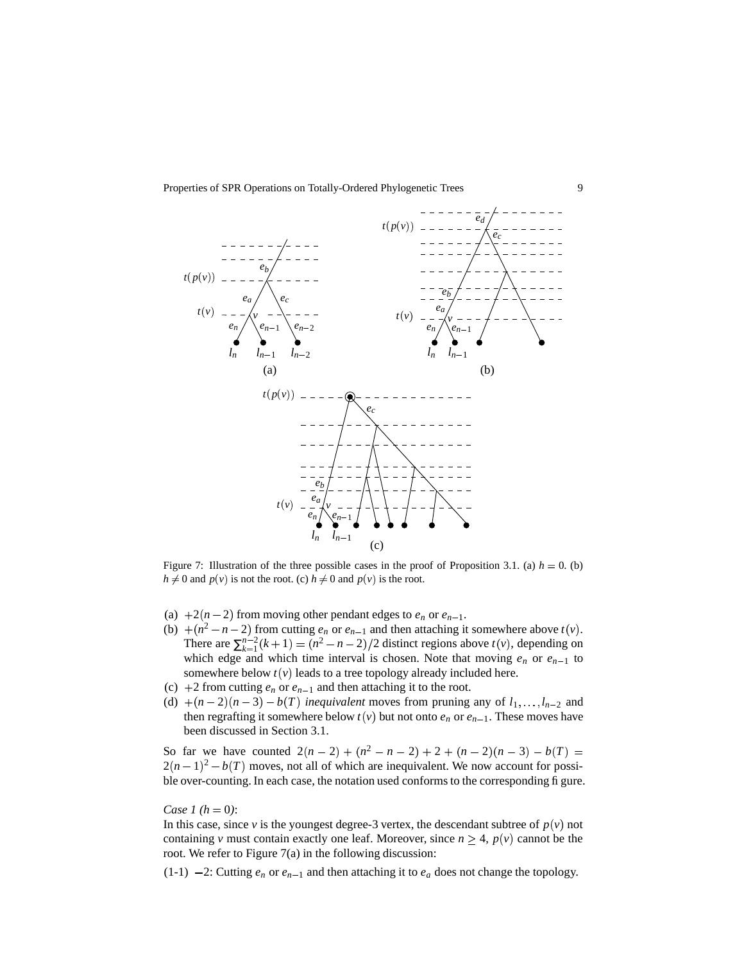

Figure 7: Illustration of the three possible cases in the proof of Proposition 3.1. (a)  $h = 0$ . (b)  $h \neq 0$  and  $p(v)$  is not the root. (c)  $h \neq 0$  and  $p(v)$  is the root.

- (a)  $+2(n-2)$  from moving other pendant edges to  $e_n$  or  $e_{n-1}$ .
- (b)  $+(n^2-n-2)$  from cutting  $e_n$  or  $e_{n-1}$  and then attaching it somewhere above  $t(v)$ . There are  $\sum_{k=1}^{n-2} (k+1) = (n^2 - n - 2)/2$  distinct regions above  $t(v)$ , depending on which edge and which time interval is chosen. Note that moving  $e_n$  or  $e_{n-1}$  to somewhere below  $t(v)$  leads to a tree topology already included here.
- (c)  $+2$  from cutting  $e_n$  or  $e_{n-1}$  and then attaching it to the root.
- (d)  $+(n-2)(n-3) b(T)$  inequivalent moves from pruning any of  $l_1, \ldots, l_{n-2}$  and then regrafting it somewhere below  $t(v)$  but not onto  $e_n$  or  $e_{n-1}$ . These moves have been discussed in Section 3.1.

So far we have counted  $2(n-2) + (n^2 - n - 2) + 2 + (n-2)(n-3) - b(T) =$  $2(n-1)^2 - b(T)$  moves, not all of which are inequivalent. We now account for possible over-counting. In each case, the notation used conforms to the corresponding figure.

*Case 1*  $(h = 0)$ :

In this case, since *v* is the youngest degree-3 vertex, the descendant subtree of  $p(v)$  not containing *v* must contain exactly one leaf. Moreover, since  $n \geq 4$ ,  $p(v)$  cannot be the root. We refer to Figure 7(a) in the following discussion:

 $(1-1)$  -2: Cutting  $e_n$  or  $e_{n-1}$  and then attaching it to  $e_a$  does not change the topology.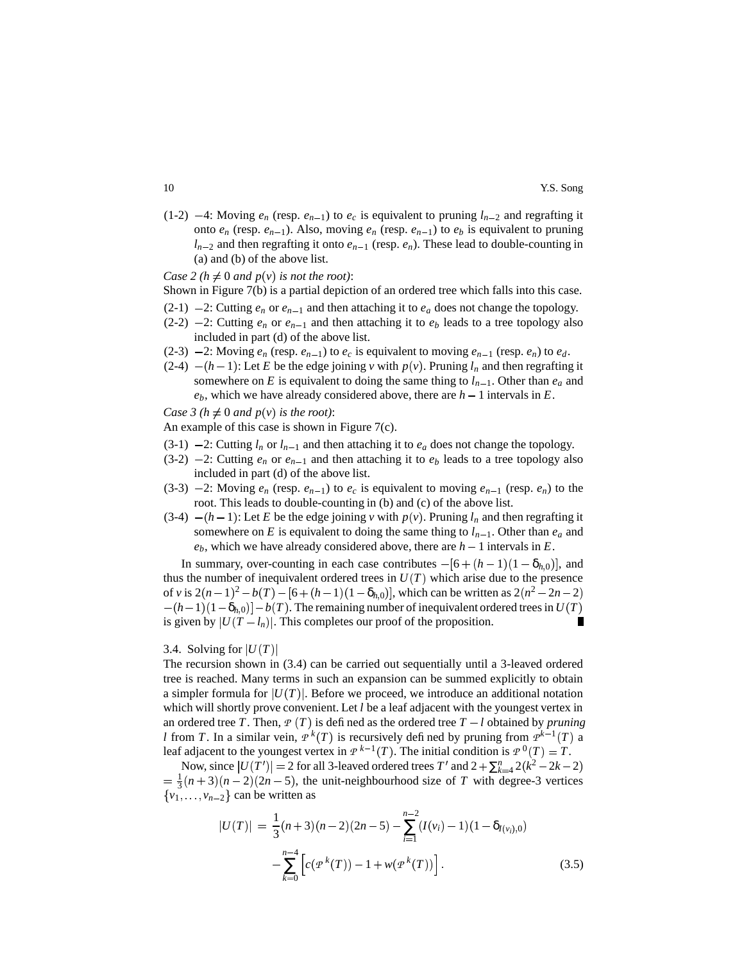(1-2)  $-4$ : Moving  $e_n$  (resp.  $e_{n-1}$ ) to  $e_c$  is equivalent to pruning  $l_{n-2}$  and regrafting it onto  $e_n$  (resp.  $e_{n-1}$ ). Also, moving  $e_n$  (resp.  $e_{n-1}$ ) to  $e_b$  is equivalent to pruning  $l_{n-2}$  and then regrafting it onto  $e_{n-1}$  (resp.  $e_n$ ). These lead to double-counting in (a) and (b) of the above list.

*Case* 2 ( $h \neq 0$  *and*  $p(v)$  *is not the root)*:

- Shown in Figure 7(b) is a partial depiction of an ordered tree which falls into this case.
- $(2-1)$  -2: Cutting  $e_n$  or  $e_{n-1}$  and then attaching it to  $e_a$  does not change the topology.
- $(2-2)$  -2: Cutting  $e_n$  or  $e_{n-1}$  and then attaching it to  $e_b$  leads to a tree topology also included in part (d) of the above list.
- (2-3)  $-2$ : Moving  $e_n$  (resp.  $e_{n-1}$ ) to  $e_c$  is equivalent to moving  $e_{n-1}$  (resp.  $e_n$ ) to  $e_d$ .
- (2-4)  $-(h-1)$ : Let *E* be the edge joining *v* with  $p(v)$ . Pruning  $l_n$  and then regrafting it somewhere on *E* is equivalent to doing the same thing to  $l_{n-1}$ . Other than  $e_a$  and  $e_b$ , which we have already considered above, there are  $h - 1$  intervals in  $E$ .

*Case*  $3(h \neq 0 \text{ and } p(v) \text{ is the root)}$ :

An example of this case is shown in Figure 7(c).

- $(3-1)$  -2: Cutting  $l_n$  or  $l_{n-1}$  and then attaching it to  $e_a$  does not change the topology.
- (3-2)  $-2$ : Cutting  $e_n$  or  $e_{n-1}$  and then attaching it to  $e_b$  leads to a tree topology also included in part (d) of the above list.
- (3-3)  $-2$ : Moving  $e_n$  (resp.  $e_{n-1}$ ) to  $e_c$  is equivalent to moving  $e_{n-1}$  (resp.  $e_n$ ) to the root. This leads to double-counting in (b) and (c) of the above list.
- (3-4)  $-(h-1)$ : Let *E* be the edge joining *v* with  $p(v)$ . Pruning  $l_n$  and then regrafting it somewhere on *E* is equivalent to doing the same thing to  $l_{n-1}$ . Other than  $e_a$  and  $e_b$ , which we have already considered above, there are  $h - 1$  intervals in  $E$ .

In summary, over-counting in each case contributes  $-[6+(h-1)(1-\delta_{h,0})]$ , and thus the number of inequivalent ordered trees in  $U(T)$  which arise due to the presence of *v* is  $2(n-1)^2 - b(T) - [6 + (h-1)(1 - \delta_{h,0})]$ , which can be written as  $2(n^2 - 2n - 2)$  $h - (h - 1)(1 - \delta_{h,0}) - b(T)$ . The remaining number of inequivalent ordered trees in  $U(T)$  $\blacksquare$ is given by  $|U(T - I_n)|$ . This completes our proof of the proposition.

# 3.4. Solving for  $|U(T)|$

The recursion shown in (3.4) can be carried out sequentially until a 3-leaved ordered tree is reached. Many terms in such an expansion can be summed explicitly to obtain a simpler formula for  $|U(T)|$ . Before we proceed, we introduce an additional notation which will shortly prove convenient. Let *l* be a leaf adjacent with the youngest vertex in an ordered tree *T*. Then,  $P(T)$  is defined as the ordered tree  $T - l$  obtained by *pruning l* from *T*. In a similar vein,  $P^{k}(T)$  is recursively defined by pruning from  $P^{k-1}(T)$  a leaf adjacent to the youngest vertex in  $P^{k-1}(T)$ . The initial condition is  $P^0(T) = T$ .

Now, since  $|U(T')| = 2$  for all 3-leaved ordered trees  $T'$  and  $2 + \sum_{k=4}^{n} 2(k^2 - 2k - 2)$  $=$   $\frac{1}{3}(n+3)(n-2)(2n-5)$ , the unit-neighbourhood size of *T* with degree-3 vertices  $\{v_1, \ldots, v_{n-2}\}$  can be written as

$$
|U(T)| = \frac{1}{3}(n+3)(n-2)(2n-5) - \sum_{i=1}^{n-2} (I(v_i) - 1)(1 - \delta_{I(v_i),0}) - \sum_{k=0}^{n-4} \left[ c(p^k(T)) - 1 + w(p^k(T)) \right].
$$
\n(3.5)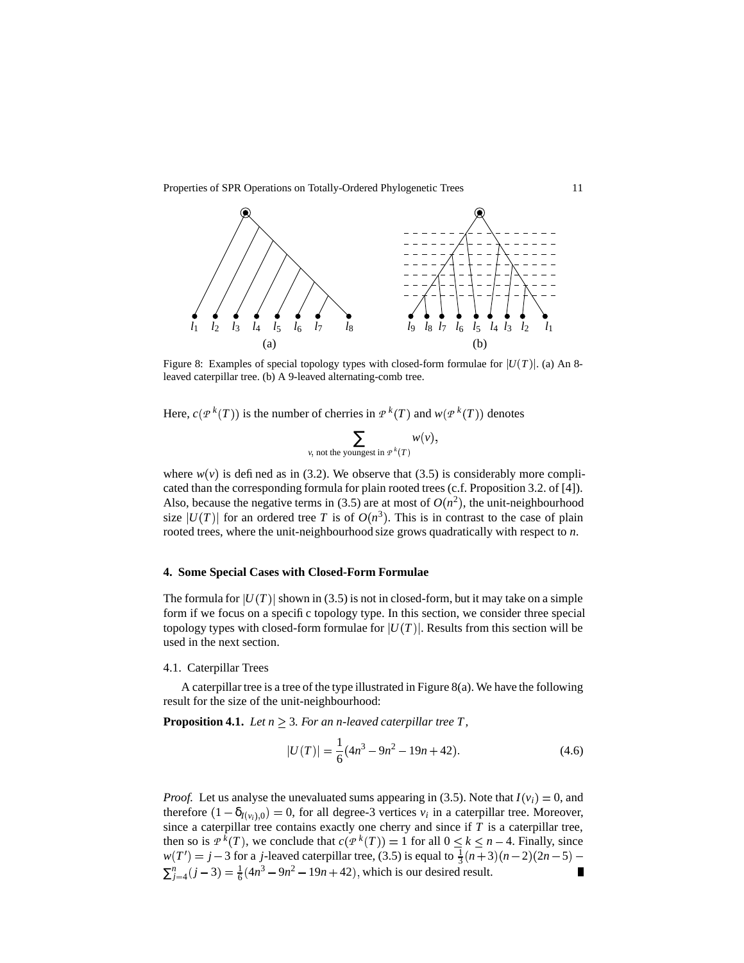

Figure 8: Examples of special topology types with closed-form formulae for  $|U(T)|$ . (a) An 8leaved caterpillar tree. (b) A 9-leaved alternating-comb tree.

Here,  $c(P^k(T))$  is the number of cherries in  $P^k(T)$  and  $w(P^k(T))$  denotes

$$
\sum_{v, \text{ not the youngest in } P^k(T)} w(v),
$$

where  $w(v)$  is defined as in (3.2). We observe that (3.5) is considerably more complicated than the corresponding formula for plain rooted trees (c.f. Proposition 3.2. of [4]). Also, because the negative terms in (3.5) are at most of  $O(n^2)$ , the unit-neighbourhood size  $|U(T)|$  for an ordered tree *T* is of  $O(n^3)$ . This is in contrast to the case of plain rooted trees, where the unit-neighbourhood size grows quadratically with respect to *n*.

# **4. Some Special Cases with Closed-Form Formulae**

The formula for  $|U(T)|$  shown in (3.5) is not in closed-form, but it may take on a simple form if we focus on a specific topology type. In this section, we consider three special topology types with closed-form formulae for  $|U(T)|$ . Results from this section will be used in the next section.

### 4.1. Caterpillar Trees

A caterpillar tree is a tree of the type illustrated in Figure 8(a). We have the following result for the size of the unit-neighbourhood:

**Proposition 4.1.** *Let*  $n \geq 3$ *. For an n-leaved caterpillar tree T,* 

$$
|U(T)| = \frac{1}{6}(4n^3 - 9n^2 - 19n + 42).
$$
 (4.6)

*Proof.* Let us analyse the unevaluated sums appearing in (3.5). Note that  $I(v_i) = 0$ , and therefore  $(1 - \delta_{I(v_i),0}) = 0$ , for all degree-3 vertices  $v_i$  in a caterpillar tree. Moreover, since a caterpillar tree contains exactly one cherry and since if *T* is a caterpillar tree, then so is  $P^{k}(T)$ , we conclude that  $c(P^{k}(T)) = 1$  for all  $0 \le k \le n-4$ . Finally, since  $w(T') = j - 3$  for a *j*-leaved caterpillar tree, (3.5) is equal to  $\frac{1}{3}(n+3)(n-2)(2n-5)$  $\sum_{j=4}^{n} (j-3) = \frac{1}{6} (4n^3 - 9n^2 - 19n + 42)$ , which is our desired result.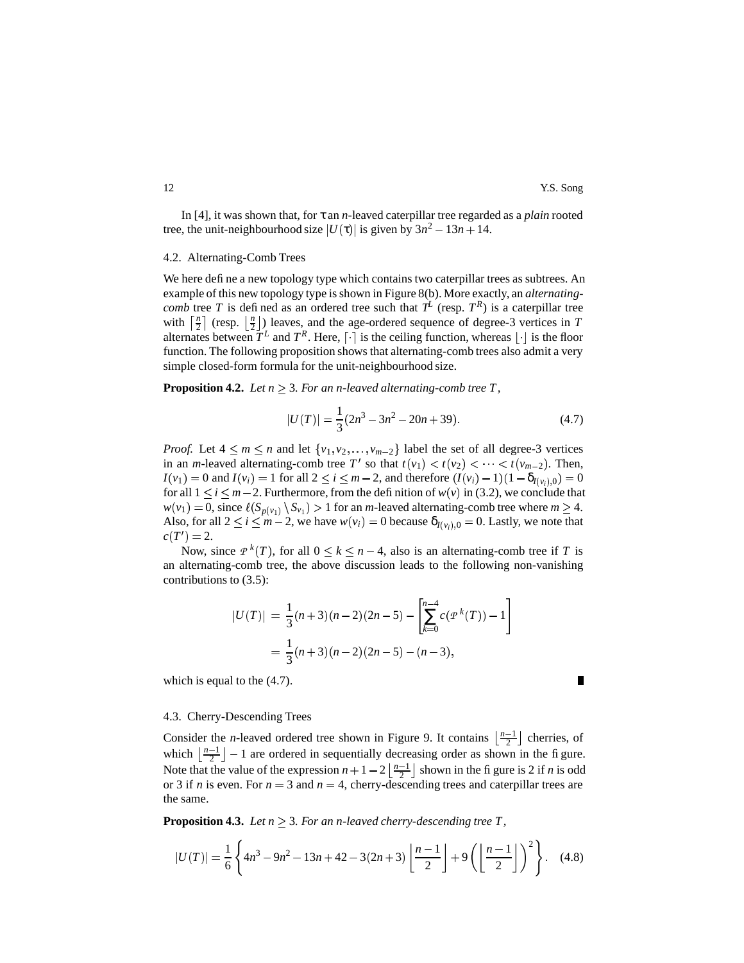П

In [4], it was shown that, for τ an *n*-leaved caterpillar tree regarded as a *plain* rooted tree, the unit-neighbourhood size  $|U(\tau)|$  is given by  $3n^2 - 13n + 14$ .

## 4.2. Alternating-Comb Trees

We here define a new topology type which contains two caterpillar trees as subtrees. An example of this new topology type is shown in Figure 8(b). More exactly, an *alternatingcomb* tree *T* is defined as an ordered tree such that  $T^L$  (resp.  $T^R$ ) is a caterpillar tree with  $\left[\frac{n}{2}\right]$  (resp.  $\left[\frac{n}{2}\right]$ ) leaves, and the age-ordered sequence of degree-3 vertices in *T* alternates between  $T^L$  and  $T^R$ . Here,  $\lceil \cdot \rceil$  is the ceiling function, whereas  $\lfloor \cdot \rfloor$  is the floor function. The following proposition shows that alternating-comb trees also admit a very simple closed-form formula for the unit-neighbourhood size.

**Proposition 4.2.** *Let*  $n \geq 3$ *. For an n-leaved alternating-comb tree T,* 

$$
|U(T)| = \frac{1}{3}(2n^3 - 3n^2 - 20n + 39).
$$
 (4.7)

*Proof.* Let  $4 \le m \le n$  and let  $\{v_1, v_2, \ldots, v_{m-2}\}$  label the set of all degree-3 vertices in an *m*-leaved alternating-comb tree  $T'$  so that  $t(v_1) < t(v_2) < \cdots < t(v_{m-2})$ . Then,  $I(v_1) = 0$  and  $I(v_i) = 1$  for all  $2 \le i \le m - 2$ , and therefore  $(I(v_i) - 1)(1 - \delta_{I(v_i),0}) = 0$ for all  $1 \le i \le m-2$ . Furthermore, from the definition of  $w(v)$  in (3.2), we conclude that  $w(v_1) = 0$ , since  $\ell(S_{p(v_1)} \setminus S_{v_1}) > 1$  for an *m*-leaved alternating-comb tree where  $m \ge 4$ . Also, for all  $2 \le i \le m - 2$ , we have  $w(v_i) = 0$  because  $\delta_{I(v_i),0} = 0$ . Lastly, we note that  $c(T') = 2.$ 

Now, since  $P^{k}(T)$ , for all  $0 \leq k \leq n-4$ , also is an alternating-comb tree if *T* is an alternating-comb tree, the above discussion leads to the following non-vanishing contributions to (3.5):

$$
U(T)| = \frac{1}{3}(n+3)(n-2)(2n-5) - \left[\sum_{k=0}^{n-4} c(p^k(T)) - 1\right]
$$
  
=  $\frac{1}{3}(n+3)(n-2)(2n-5) - (n-3),$ 

which is equal to the (4.7).

## 4.3. Cherry-Descending Trees

Consider the *n*-leaved ordered tree shown in Figure 9. It contains  $\left\lfloor \frac{n-1}{2} \right\rfloor$  cherries, of which  $\lfloor \frac{n-1}{2} \rfloor - 1$  are ordered in sequentially decreasing order as shown in the figure. Note that the value of the expression  $n + 1 - 2\left\lfloor \frac{n-1}{2} \right\rfloor$  shown in the figure is 2 if *n* is odd or 3 if *n* is even. For  $n = 3$  and  $n = 4$ , cherry-descending trees and caterpillar trees are the same.

**Proposition 4.3.** *Let*  $n \geq 3$ *. For an n-leaved cherry-descending tree T,* 

$$
|U(T)| = \frac{1}{6} \left\{ 4n^3 - 9n^2 - 13n + 42 - 3(2n + 3) \left[ \frac{n-1}{2} \right] + 9 \left( \left[ \frac{n-1}{2} \right] \right)^2 \right\}.
$$
 (4.8)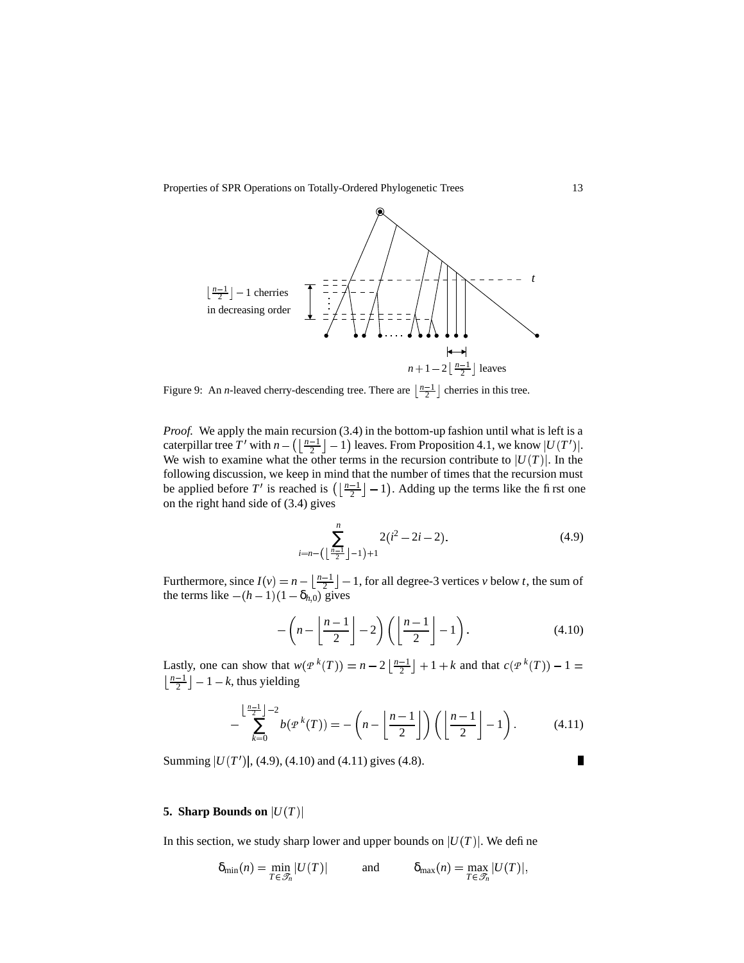

Figure 9: An *n*-leaved cherry-descending tree. There are  $\left\lfloor \frac{n-1}{2} \right\rfloor$  cherries in this tree.

*Proof.* We apply the main recursion (3.4) in the bottom-up fashion until what is left is a caterpillar tree T' with  $n - \left( \left| \frac{n-1}{2} \right| - 1 \right)$  1  $\lfloor \frac{n-1}{2} \rfloor - 1$ ) leaves. From Proposition 4.1, we know  $|U(T')|$ . We wish to examine what the other terms in the recursion contribute to  $|U(T)|$ . In the following discussion, we keep in mind that the number of times that the recursion must be applied before T' is reached is  $(\frac{n-1}{2} - 1)$ . Adding up the terms like the first one on the right hand side of (3.4) gives

$$
\sum_{i=n-\left(\left\lfloor \frac{n-1}{2} \right\rfloor - 1\right)+1}^{n} 2(i^2 - 2i - 2). \tag{4.9}
$$

Furthermore, since  $I(v) = n - \left\lfloor \frac{n-1}{2} \right\rfloor - 1$ , for all degree-3 vertices *v* below *t*, the sum of the terms like  $-(h-1)(1-\delta_{h,0})$  gives

$$
-\left(n-\left\lfloor\frac{n-1}{2}\right\rfloor-2\right)\left(\left\lfloor\frac{n-1}{2}\right\rfloor-1\right).
$$
\n(4.10)

Lastly, one can show that  $w(P^k(T)) = n - 2\left\lfloor \frac{n-1}{2} \right\rfloor + 1 + k$  and that  $c(P^k(T)) - 1 =$  $\lfloor \frac{n-1}{2} \rfloor - 1 - k$ , thus yielding

$$
-\sum_{k=0}^{\lfloor \frac{n-1}{2} \rfloor - 2} b(p^k(T)) = -\left(n - \left\lfloor \frac{n-1}{2} \right\rfloor\right) \left(\left\lfloor \frac{n-1}{2} \right\rfloor - 1\right). \tag{4.11}
$$

Summing  $|U(T')|$ , (4.9), (4.10) and (4.11) gives (4.8).

# $\blacksquare$

## **5. Sharp Bounds on**  $|U(T)|$

In this section, we study sharp lower and upper bounds on  $|U(T)|$ . We define

$$
\delta_{\min}(n) = \min_{T \in \mathcal{F}_n} |U(T)| \quad \text{and} \quad \delta_{\max}(n) = \max_{T \in \mathcal{F}_n} |U(T)|,
$$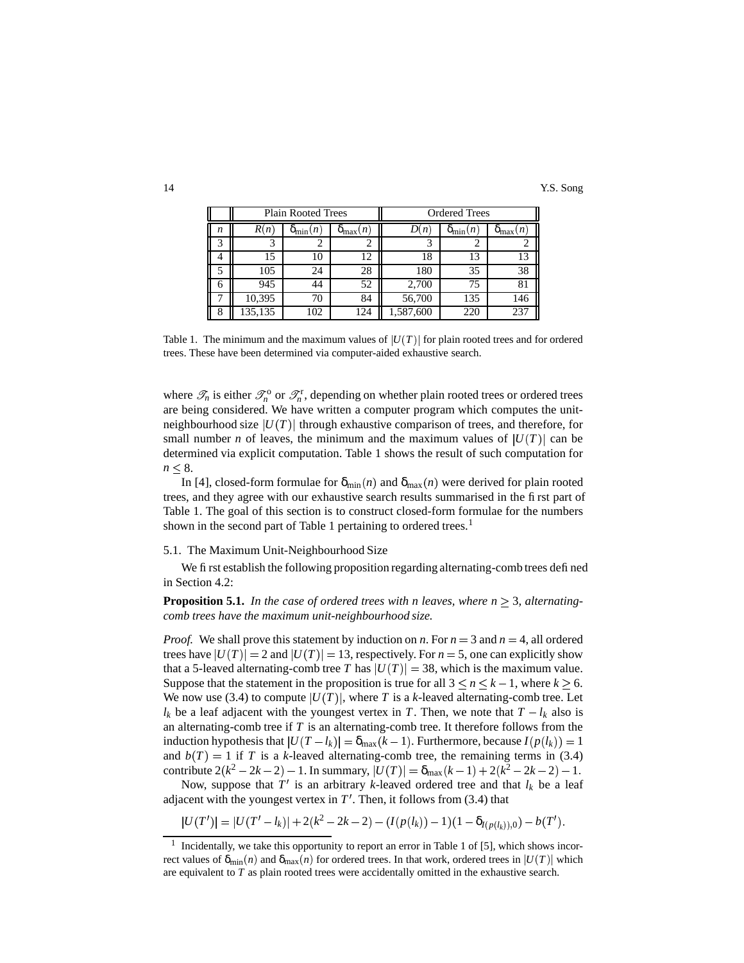|   | <b>Plain Rooted Trees</b> |                        |                     | <b>Ordered Trees</b> |                        |                     |
|---|---------------------------|------------------------|---------------------|----------------------|------------------------|---------------------|
| n | R(n)                      | $\mathsf{u}_{\min}(n)$ | $O_{\text{max}}(n)$ | (JI)                 | $\mathbf{o}_{\min}(n)$ | $O_{\text{max}}(n)$ |
|   |                           |                        |                     |                      |                        |                     |
|   | 15                        | 10                     | 12                  | 18                   | 13                     |                     |
|   | 105                       | 24                     | 28                  | 180                  | 35                     | 38                  |
|   | 945                       | 44                     | 52                  | 2,700                | 75                     | 81                  |
|   | 10,395                    | 70                     | 84                  | 56,700               | 135                    | 146                 |
|   | 135,135                   | .02                    | 124                 | 1,587,600            | 220                    | 237                 |

Table 1. The minimum and the maximum values of  $|U(T)|$  for plain rooted trees and for ordered trees. These have been determined via computer-aided exhaustive search.

where  $\mathcal{T}_n$  is either  $\mathcal{T}_n^0$  or  $\mathcal{T}_n^r$ , depending on whether plain rooted trees or ordered trees are being considered. We have written a computer program which computes the unitneighbourhood size  $|U(T)|$  through exhaustive comparison of trees, and therefore, for small number *n* of leaves, the minimum and the maximum values of  $|U(T)|$  can be determined via explicit computation. Table 1 shows the result of such computation for  $n < 8$ .

In [4], closed-form formulae for  $\delta_{min}(n)$  and  $\delta_{max}(n)$  were derived for plain rooted trees, and they agree with our exhaustive search results summarised in the first part of Table 1. The goal of this section is to construct closed-form formulae for the numbers shown in the second part of Table 1 pertaining to ordered trees.<sup>1</sup>

### 5.1. The Maximum Unit-Neighbourhood Size

We first establish the following proposition regarding alternating-comb trees defined in Section 4.2:

**Proposition 5.1.** In the case of ordered trees with *n* leaves, where  $n \geq 3$ , alternating*comb trees have the maximum unit-neighbourhood size.*

*Proof.* We shall prove this statement by induction on *n*. For  $n = 3$  and  $n = 4$ , all ordered trees have  $|U(T)| = 2$  and  $|U(T)| = 13$ , respectively. For  $n = 5$ , one can explicitly show that a 5-leaved alternating-comb tree *T* has  $|U(T)| = 38$ , which is the maximum value. Suppose that the statement in the proposition is true for all  $3 \le n \le k - 1$ , where  $k \ge 6$ . We now use (3.4) to compute  $|U(T)|$ , where T is a k-leaved alternating-comb tree. Let  $l_k$  be a leaf adjacent with the youngest vertex in *T*. Then, we note that  $T - l_k$  also is an alternating-comb tree if *T* is an alternating-comb tree. It therefore follows from the induction hypothesis that  $|U(T - l_k)| = \delta_{\max}(k-1)$ . Furthermore, because  $I(p(l_k)) = 1$ and  $b(T) = 1$  if *T* is a *k*-leaved alternating-comb tree, the remaining terms in (3.4) contribute  $2(k^2 - 2k - 2) - 1$ . In summary,  $|U(T)| = \delta_{\max}(k-1) + 2(k^2 - 2k - 2) - 1$ .

Now, suppose that  $T'$  is an arbitrary *k*-leaved ordered tree and that  $l_k$  be a leaf adjacent with the youngest vertex in  $T'$ . Then, it follows from  $(3.4)$  that

$$
|U(T')| = |U(T'-l_k)| + 2(k^2 - 2k - 2) - (I(p(l_k)) - 1)(1 - \delta_{I(p(l_k)),0}) - b(T').
$$

<sup>1</sup> Incidentally, we take this opportunity to report an error in Table 1 of [5], which shows incorrect values of  $\delta_{\min}(n)$  and  $\delta_{\max}(n)$  for ordered trees. In that work, ordered trees in  $|U(T)|$  which are equivalent to *T* as plain rooted trees were accidentally omitted in the exhaustive search.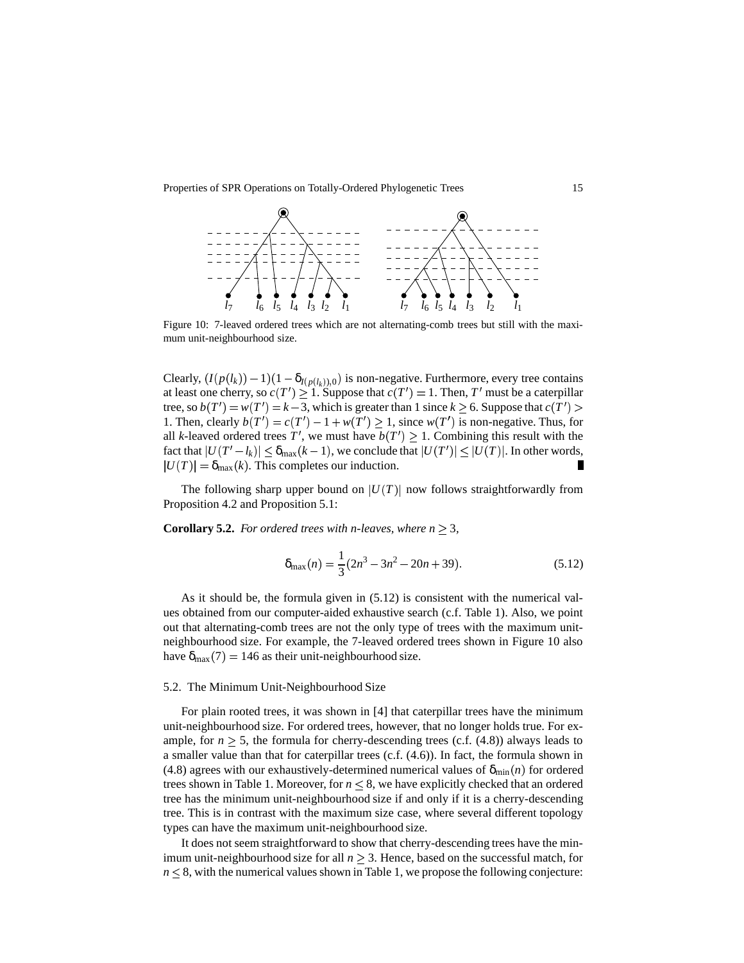

Figure 10: 7-leaved ordered trees which are not alternating-comb trees but still with the maximum unit-neighbourhood size.

Clearly,  $(I(p(l_k)) - 1)(1 - \delta_{I(p(l_k)),0})$  is non-negative. Furthermore, every tree contains at least one cherry, so  $c(T') \geq 1$ . Suppose that  $c(T') = 1$ . Then,  $T'$  must be a caterpillar tree, so  $b(T') = w(T') = k - 3$ , which is greater than 1 since  $k \ge 6$ . Suppose that  $c(T') >$ 1. Then, clearly  $b(T') = c(T') - 1 + w(T') \ge 1$ , since  $w(T')$  is non-negative. Thus, for all *k*-leaved ordered trees T', we must have  $b(T') \geq 1$ . Combining this result with the fact that  $|U(T'-l_k)| \leq \delta_{\max}(k-1)$ , we conclude that  $|U(T')| \leq |U(T)|$ . In other words,  $|U(T)| = \delta_{\text{max}}(k)$ . This completes our induction.

The following sharp upper bound on  $|U(T)|$  now follows straightforwardly from Proposition 4.2 and Proposition 5.1:

**Corollary 5.2.** *For ordered trees with n-leaves, where*  $n \geq 3$ *,* 

$$
\delta_{\max}(n) = \frac{1}{3}(2n^3 - 3n^2 - 20n + 39). \tag{5.12}
$$

As it should be, the formula given in (5.12) is consistent with the numerical values obtained from our computer-aided exhaustive search (c.f. Table 1). Also, we point out that alternating-comb trees are not the only type of trees with the maximum unitneighbourhood size. For example, the 7-leaved ordered trees shown in Figure 10 also have  $\delta_{\text{max}}(7) = 146$  as their unit-neighbourhood size.

### 5.2. The Minimum Unit-Neighbourhood Size

For plain rooted trees, it was shown in [4] that caterpillar trees have the minimum unit-neighbourhood size. For ordered trees, however, that no longer holds true. For example, for  $n \geq 5$ , the formula for cherry-descending trees (c.f.  $(4.8)$ ) always leads to a smaller value than that for caterpillar trees (c.f. (4.6)). In fact, the formula shown in (4.8) agrees with our exhaustively-determined numerical values of  $\delta_{\min}(n)$  for ordered trees shown in Table 1. Moreover, for  $n \leq 8$ , we have explicitly checked that an ordered tree has the minimum unit-neighbourhood size if and only if it is a cherry-descending tree. This is in contrast with the maximum size case, where several different topology types can have the maximum unit-neighbourhood size.

It does not seem straightforward to show that cherry-descending trees have the minimum unit-neighbourhood size for all  $n \geq 3$ . Hence, based on the successful match, for  $n \leq 8$ , with the numerical values shown in Table 1, we propose the following conjecture: